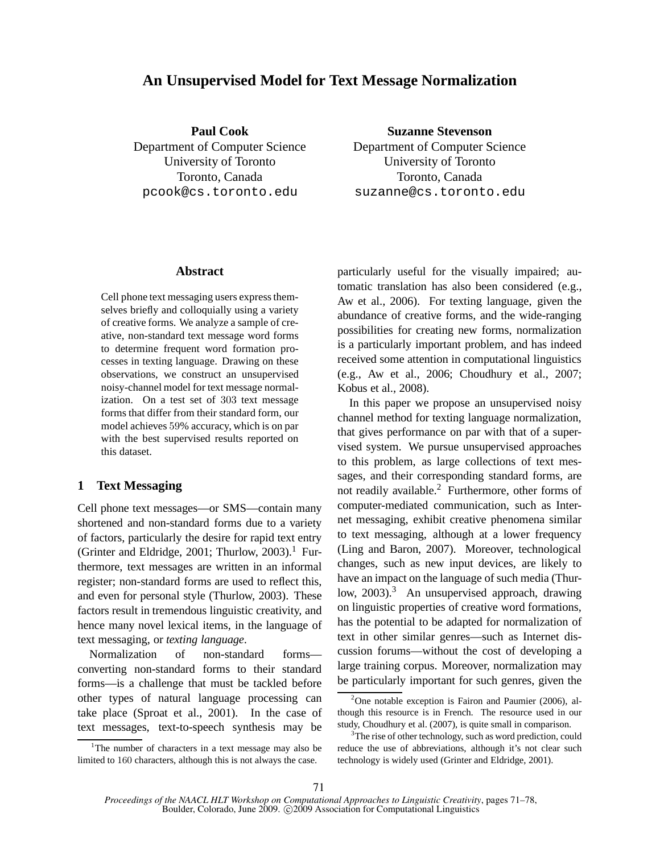# **An Unsupervised Model for Text Message Normalization**

**Paul Cook** Department of Computer Science University of Toronto Toronto, Canada pcook@cs.toronto.edu

**Suzanne Stevenson** Department of Computer Science University of Toronto Toronto, Canada suzanne@cs.toronto.edu

### **Abstract**

Cell phone text messaging users express themselves briefly and colloquially using a variety of creative forms. We analyze a sample of creative, non-standard text message word forms to determine frequent word formation processes in texting language. Drawing on these observations, we construct an unsupervised noisy-channel model for text message normalization. On a test set of 303 text message forms that differ from their standard form, our model achieves 59% accuracy, which is on par with the best supervised results reported on this dataset.

# **1 Text Messaging**

Cell phone text messages—or SMS—contain many shortened and non-standard forms due to a variety of factors, particularly the desire for rapid text entry (Grinter and Eldridge, 2001; Thurlow, 2003).<sup>1</sup> Furthermore, text messages are written in an informal register; non-standard forms are used to reflect this, and even for personal style (Thurlow, 2003). These factors result in tremendous linguistic creativity, and hence many novel lexical items, in the language of text messaging, or *texting language*.

Normalization of non-standard forms converting non-standard forms to their standard forms—is a challenge that must be tackled before other types of natural language processing can take place (Sproat et al., 2001). In the case of text messages, text-to-speech synthesis may be particularly useful for the visually impaired; automatic translation has also been considered (e.g., Aw et al., 2006). For texting language, given the abundance of creative forms, and the wide-ranging possibilities for creating new forms, normalization is a particularly important problem, and has indeed received some attention in computational linguistics (e.g., Aw et al., 2006; Choudhury et al., 2007; Kobus et al., 2008).

In this paper we propose an unsupervised noisy channel method for texting language normalization, that gives performance on par with that of a supervised system. We pursue unsupervised approaches to this problem, as large collections of text messages, and their corresponding standard forms, are not readily available.<sup>2</sup> Furthermore, other forms of computer-mediated communication, such as Internet messaging, exhibit creative phenomena similar to text messaging, although at a lower frequency (Ling and Baron, 2007). Moreover, technological changes, such as new input devices, are likely to have an impact on the language of such media (Thurlow, 2003).<sup>3</sup> An unsupervised approach, drawing on linguistic properties of creative word formations, has the potential to be adapted for normalization of text in other similar genres—such as Internet discussion forums—without the cost of developing a large training corpus. Moreover, normalization may be particularly important for such genres, given the

<sup>&</sup>lt;sup>1</sup>The number of characters in a text message may also be limited to 160 characters, although this is not always the case.

<sup>&</sup>lt;sup>2</sup>One notable exception is Fairon and Paumier (2006), although this resource is in French. The resource used in our study, Choudhury et al. (2007), is quite small in comparison.

 $3$ The rise of other technology, such as word prediction, could reduce the use of abbreviations, although it's not clear such technology is widely used (Grinter and Eldridge, 2001).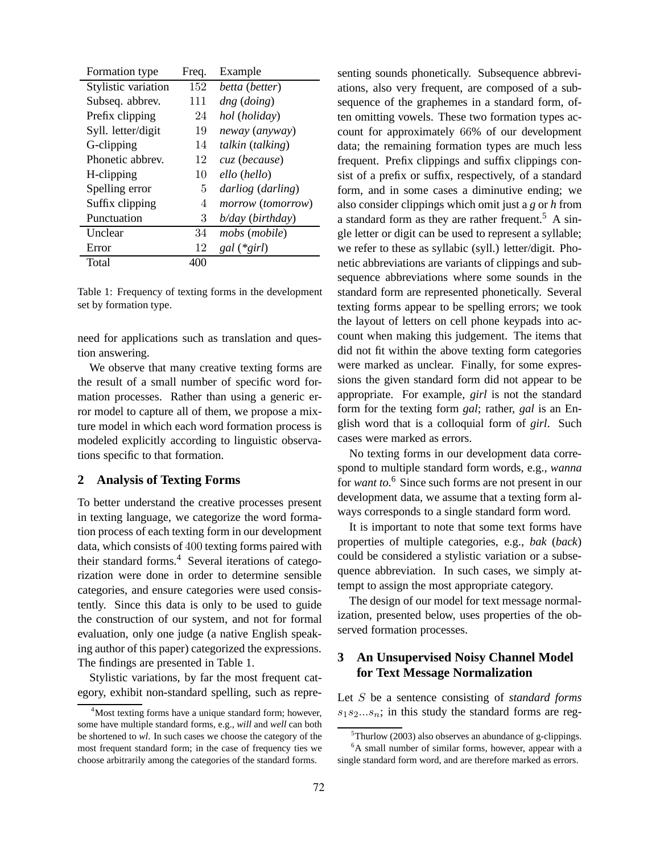| Formation type      | Freq. | Example             |
|---------------------|-------|---------------------|
| Stylistic variation | 152   | betta (better)      |
| Subseq. abbrev.     | 111   | dng (doing)         |
| Prefix clipping     | 24    | hol (holiday)       |
| Syll. letter/digit  | 19    | neway (anyway)      |
| G-clipping          | 14    | talkin (talking)    |
| Phonetic abbrev.    | 12    | cuz (because)       |
| H-clipping          | 10    | ello (hello)        |
| Spelling error      | 5     | darliog (darling)   |
| Suffix clipping     | 4     | morrow (tomorrow)   |
| Punctuation         | 3     | $b$ /day (birthday) |
| Unclear             | 34    | mobs (mobile)       |
| Error               | 12    | $gal$ (* $girl$ )   |
| Total               | 400   |                     |

Table 1: Frequency of texting forms in the development set by formation type.

need for applications such as translation and question answering.

We observe that many creative texting forms are the result of a small number of specific word formation processes. Rather than using a generic error model to capture all of them, we propose a mixture model in which each word formation process is modeled explicitly according to linguistic observations specific to that formation.

# **2 Analysis of Texting Forms**

To better understand the creative processes present in texting language, we categorize the word formation process of each texting form in our development data, which consists of 400 texting forms paired with their standard forms.<sup>4</sup> Several iterations of categorization were done in order to determine sensible categories, and ensure categories were used consistently. Since this data is only to be used to guide the construction of our system, and not for formal evaluation, only one judge (a native English speaking author of this paper) categorized the expressions. The findings are presented in Table 1.

Stylistic variations, by far the most frequent category, exhibit non-standard spelling, such as representing sounds phonetically. Subsequence abbreviations, also very frequent, are composed of a subsequence of the graphemes in a standard form, often omitting vowels. These two formation types account for approximately 66% of our development data; the remaining formation types are much less frequent. Prefix clippings and suffix clippings consist of a prefix or suffix, respectively, of a standard form, and in some cases a diminutive ending; we also consider clippings which omit just a *g* or *h* from a standard form as they are rather frequent.<sup>5</sup> A single letter or digit can be used to represent a syllable; we refer to these as syllabic (syll.) letter/digit. Phonetic abbreviations are variants of clippings and subsequence abbreviations where some sounds in the standard form are represented phonetically. Several texting forms appear to be spelling errors; we took the layout of letters on cell phone keypads into account when making this judgement. The items that did not fit within the above texting form categories were marked as unclear. Finally, for some expressions the given standard form did not appear to be appropriate. For example, *girl* is not the standard form for the texting form *gal*; rather, *gal* is an English word that is a colloquial form of *girl*. Such cases were marked as errors.

No texting forms in our development data correspond to multiple standard form words, e.g., *wanna* for *want to*. <sup>6</sup> Since such forms are not present in our development data, we assume that a texting form always corresponds to a single standard form word.

It is important to note that some text forms have properties of multiple categories, e.g., *bak* (*back*) could be considered a stylistic variation or a subsequence abbreviation. In such cases, we simply attempt to assign the most appropriate category.

The design of our model for text message normalization, presented below, uses properties of the observed formation processes.

# **3 An Unsupervised Noisy Channel Model for Text Message Normalization**

Let S be a sentence consisting of *standard forms*  $s_1s_2...s_n$ ; in this study the standard forms are reg-

<sup>&</sup>lt;sup>4</sup>Most texting forms have a unique standard form; however, some have multiple standard forms, e.g., *will* and *well* can both be shortened to *wl*. In such cases we choose the category of the most frequent standard form; in the case of frequency ties we choose arbitrarily among the categories of the standard forms.

 $5$ Thurlow (2003) also observes an abundance of g-clippings.  ${}^{6}$ A small number of similar forms, however, appear with a

single standard form word, and are therefore marked as errors.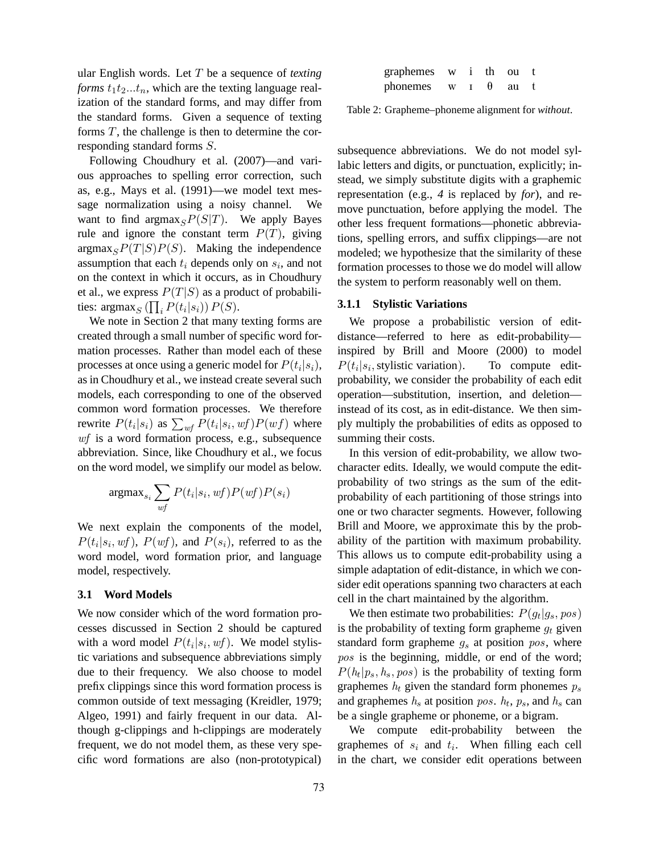ular English words. Let T be a sequence of *texting forms*  $t_1t_2...t_n$ , which are the texting language realization of the standard forms, and may differ from the standard forms. Given a sequence of texting forms  $T$ , the challenge is then to determine the corresponding standard forms S.

Following Choudhury et al. (2007)—and various approaches to spelling error correction, such as, e.g., Mays et al. (1991)—we model text message normalization using a noisy channel. We want to find  $\argmax_{S}P(S|T)$ . We apply Bayes rule and ignore the constant term  $P(T)$ , giving  $argmax_{S}P(T|S)P(S)$ . Making the independence assumption that each  $t_i$  depends only on  $s_i$ , and not on the context in which it occurs, as in Choudhury et al., we express  $P(T|S)$  as a product of probabilities:  $\operatorname{argmax}_S (\prod_i P(t_i|s_i)) P(S)$ .

We note in Section 2 that many texting forms are created through a small number of specific word formation processes. Rather than model each of these processes at once using a generic model for  $P(t_i|s_i)$ , as in Choudhury et al., we instead create several such models, each corresponding to one of the observed common word formation processes. We therefore rewrite  $P(t_i|s_i)$  as  $\sum_{wf} P(t_i|s_i, wf)P(wf)$  where wf is a word formation process, e.g., subsequence abbreviation. Since, like Choudhury et al., we focus on the word model, we simplify our model as below.

$$
\text{argmax}_{s_i} \sum_{\mathit{wf}} P(t_i|s_i,\mathit{wf}) P(\mathit{wf}) P(s_i)
$$

We next explain the components of the model,  $P(t_i|s_i, wf), P(wf),$  and  $P(s_i)$ , referred to as the word model, word formation prior, and language model, respectively.

#### **3.1 Word Models**

We now consider which of the word formation processes discussed in Section 2 should be captured with a word model  $P(t_i|s_i, wf)$ . We model stylistic variations and subsequence abbreviations simply due to their frequency. We also choose to model prefix clippings since this word formation process is common outside of text messaging (Kreidler, 1979; Algeo, 1991) and fairly frequent in our data. Although g-clippings and h-clippings are moderately frequent, we do not model them, as these very specific word formations are also (non-prototypical)

| graphemes | W | i thou   |    |  |
|-----------|---|----------|----|--|
| phonemes  | W | $\theta$ | au |  |

Table 2: Grapheme–phoneme alignment for *without*.

subsequence abbreviations. We do not model syllabic letters and digits, or punctuation, explicitly; instead, we simply substitute digits with a graphemic representation (e.g., *4* is replaced by *for*), and remove punctuation, before applying the model. The other less frequent formations—phonetic abbreviations, spelling errors, and suffix clippings—are not modeled; we hypothesize that the similarity of these formation processes to those we do model will allow the system to perform reasonably well on them.

#### **3.1.1 Stylistic Variations**

We propose a probabilistic version of editdistance—referred to here as edit-probability inspired by Brill and Moore (2000) to model  $P(t_i|s_i)$ , stylistic variation). To compute editprobability, we consider the probability of each edit operation—substitution, insertion, and deletion instead of its cost, as in edit-distance. We then simply multiply the probabilities of edits as opposed to summing their costs.

In this version of edit-probability, we allow twocharacter edits. Ideally, we would compute the editprobability of two strings as the sum of the editprobability of each partitioning of those strings into one or two character segments. However, following Brill and Moore, we approximate this by the probability of the partition with maximum probability. This allows us to compute edit-probability using a simple adaptation of edit-distance, in which we consider edit operations spanning two characters at each cell in the chart maintained by the algorithm.

We then estimate two probabilities:  $P(g_t|g_s, pos)$ is the probability of texting form grapheme  $g_t$  given standard form grapheme  $g_s$  at position pos, where pos is the beginning, middle, or end of the word;  $P(h_t|p_s, h_s, pos)$  is the probability of texting form graphemes  $h_t$  given the standard form phonemes  $p_s$ and graphemes  $h_s$  at position pos.  $h_t$ ,  $p_s$ , and  $h_s$  can be a single grapheme or phoneme, or a bigram.

We compute edit-probability between the graphemes of  $s_i$  and  $t_i$ . When filling each cell in the chart, we consider edit operations between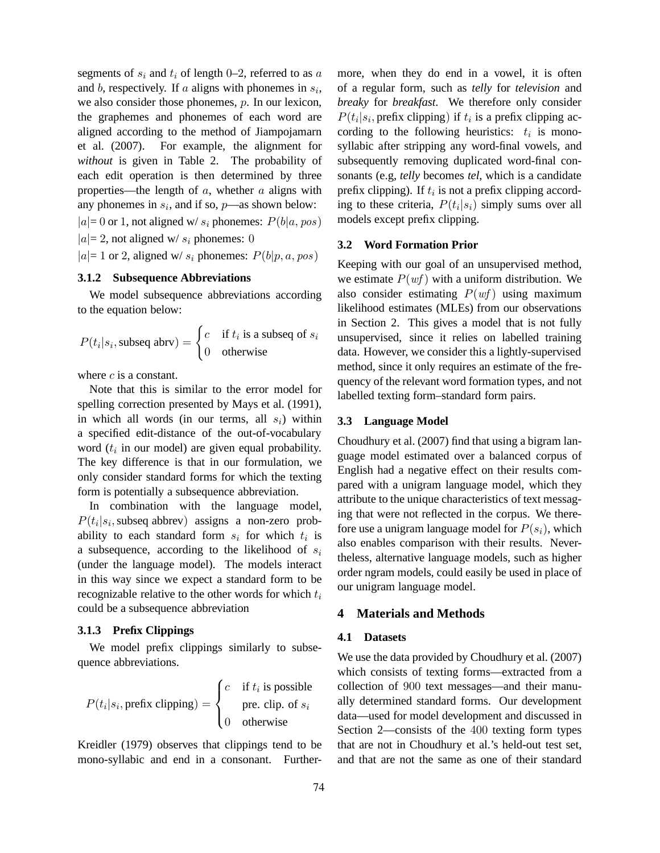segments of  $s_i$  and  $t_i$  of length 0–2, referred to as a and b, respectively. If a aligns with phonemes in  $s_i$ , we also consider those phonemes, p. In our lexicon, the graphemes and phonemes of each word are aligned according to the method of Jiampojamarn et al. (2007). For example, the alignment for *without* is given in Table 2. The probability of each edit operation is then determined by three properties—the length of  $a$ , whether  $a$  aligns with any phonemes in  $s_i$ , and if so,  $p$ —as shown below:  $|a|=0$  or 1, not aligned w/s<sub>i</sub> phonemes:  $P(b|a, pos)$  $|a|= 2$ , not aligned w/  $s_i$  phonemes: 0  $|a|= 1$  or 2, aligned w/  $s_i$  phonemes:  $P(b|p, a, pos)$ 

### **3.1.2 Subsequence Abbreviations**

We model subsequence abbreviations according to the equation below:

$$
P(t_i|s_i, \text{subseq abrv}) = \begin{cases} c & \text{if } t_i \text{ is a subseq of } s_i \\ 0 & \text{otherwise} \end{cases}
$$

where  $c$  is a constant.

Note that this is similar to the error model for spelling correction presented by Mays et al. (1991), in which all words (in our terms, all  $s_i$ ) within a specified edit-distance of the out-of-vocabulary word  $(t<sub>i</sub>$  in our model) are given equal probability. The key difference is that in our formulation, we only consider standard forms for which the texting form is potentially a subsequence abbreviation.

In combination with the language model,  $P(t_i|s_i)$ , subseq abbrev) assigns a non-zero probability to each standard form  $s_i$  for which  $t_i$  is a subsequence, according to the likelihood of  $s_i$ (under the language model). The models interact in this way since we expect a standard form to be recognizable relative to the other words for which  $t_i$ could be a subsequence abbreviation

## **3.1.3 Prefix Clippings**

We model prefix clippings similarly to subsequence abbreviations.

$$
P(t_i|s_i, \text{prefix clipping}) = \begin{cases} c & \text{if } t_i \text{ is possible} \\ & \text{pre. clip. of } s_i \\ 0 & \text{otherwise} \end{cases}
$$

Kreidler (1979) observes that clippings tend to be mono-syllabic and end in a consonant. Furthermore, when they do end in a vowel, it is often of a regular form, such as *telly* for *television* and *breaky* for *breakfast*. We therefore only consider  $P(t_i|s_i)$ , prefix clipping) if  $t_i$  is a prefix clipping according to the following heuristics:  $t_i$  is monosyllabic after stripping any word-final vowels, and subsequently removing duplicated word-final consonants (e.g, *telly* becomes *tel*, which is a candidate prefix clipping). If  $t_i$  is not a prefix clipping according to these criteria,  $P(t_i|s_i)$  simply sums over all models except prefix clipping.

## **3.2 Word Formation Prior**

Keeping with our goal of an unsupervised method, we estimate  $P(wf)$  with a uniform distribution. We also consider estimating  $P(wf)$  using maximum likelihood estimates (MLEs) from our observations in Section 2. This gives a model that is not fully unsupervised, since it relies on labelled training data. However, we consider this a lightly-supervised method, since it only requires an estimate of the frequency of the relevant word formation types, and not labelled texting form–standard form pairs.

## **3.3 Language Model**

Choudhury et al. (2007) find that using a bigram language model estimated over a balanced corpus of English had a negative effect on their results compared with a unigram language model, which they attribute to the unique characteristics of text messaging that were not reflected in the corpus. We therefore use a unigram language model for  $P(s_i)$ , which also enables comparison with their results. Nevertheless, alternative language models, such as higher order ngram models, could easily be used in place of our unigram language model.

#### **4 Materials and Methods**

#### **4.1 Datasets**

We use the data provided by Choudhury et al. (2007) which consists of texting forms—extracted from a collection of 900 text messages—and their manually determined standard forms. Our development data—used for model development and discussed in Section 2—consists of the 400 texting form types that are not in Choudhury et al.'s held-out test set, and that are not the same as one of their standard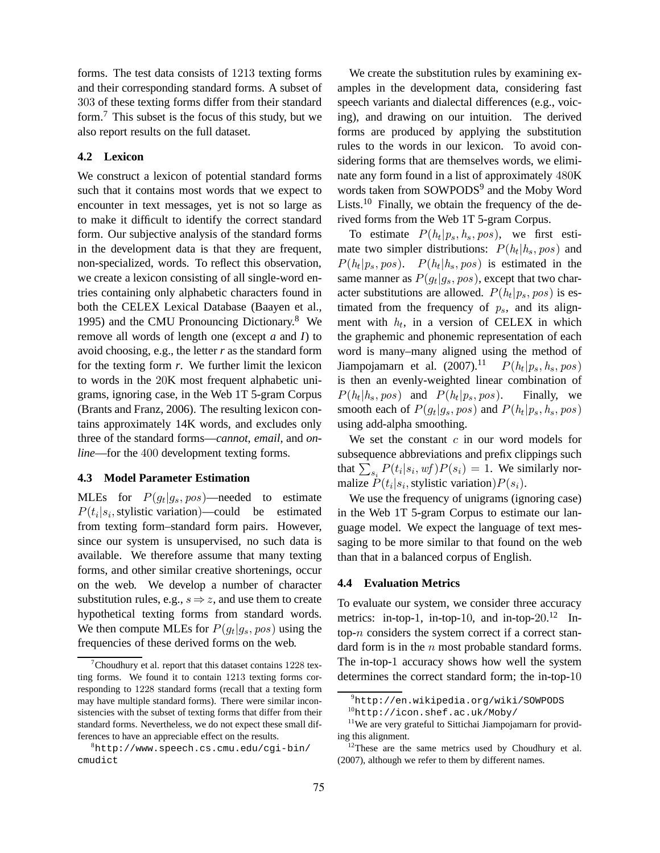forms. The test data consists of 1213 texting forms and their corresponding standard forms. A subset of 303 of these texting forms differ from their standard form.<sup>7</sup> This subset is the focus of this study, but we also report results on the full dataset.

# **4.2 Lexicon**

We construct a lexicon of potential standard forms such that it contains most words that we expect to encounter in text messages, yet is not so large as to make it difficult to identify the correct standard form. Our subjective analysis of the standard forms in the development data is that they are frequent, non-specialized, words. To reflect this observation, we create a lexicon consisting of all single-word entries containing only alphabetic characters found in both the CELEX Lexical Database (Baayen et al., 1995) and the CMU Pronouncing Dictionary.<sup>8</sup> We remove all words of length one (except *a* and *I*) to avoid choosing, e.g., the letter *r* as the standard form for the texting form *r*. We further limit the lexicon to words in the 20K most frequent alphabetic unigrams, ignoring case, in the Web 1T 5-gram Corpus (Brants and Franz, 2006). The resulting lexicon contains approximately 14K words, and excludes only three of the standard forms—*cannot*, *email*, and *online*—for the 400 development texting forms.

# **4.3 Model Parameter Estimation**

MLEs for  $P(g_t|g_s, pos)$ —needed to estimate  $P(t_i|s_i)$ , stylistic variation)—could be estimated from texting form–standard form pairs. However, since our system is unsupervised, no such data is available. We therefore assume that many texting forms, and other similar creative shortenings, occur on the web. We develop a number of character substitution rules, e.g.,  $s \Rightarrow z$ , and use them to create hypothetical texting forms from standard words. We then compute MLEs for  $P(g_t|g_s, pos)$  using the frequencies of these derived forms on the web.

We create the substitution rules by examining examples in the development data, considering fast speech variants and dialectal differences (e.g., voicing), and drawing on our intuition. The derived forms are produced by applying the substitution rules to the words in our lexicon. To avoid considering forms that are themselves words, we eliminate any form found in a list of approximately 480K words taken from SOWPODS<sup>9</sup> and the Moby Word Lists.<sup>10</sup> Finally, we obtain the frequency of the derived forms from the Web 1T 5-gram Corpus.

To estimate  $P(h_t|p_s, h_s, pos)$ , we first estimate two simpler distributions:  $P(h_t | h_s, pos)$  and  $P(h_t|p_s, pos)$ .  $P(h_t|h_s, pos)$  is estimated in the same manner as  $P(g_t|g_s, pos)$ , except that two character substitutions are allowed.  $P(h_t|p_s, pos)$  is estimated from the frequency of  $p_s$ , and its alignment with  $h_t$ , in a version of CELEX in which the graphemic and phonemic representation of each word is many–many aligned using the method of Jiampojamarn et al.  $(2007).^{11}$   $P(h_t|p_s, h_s, pos)$ is then an evenly-weighted linear combination of  $P(h_t | h_s, pos)$  and  $P(h_t)$ Finally, we smooth each of  $P(g_t|g_s, pos)$  and  $P(h_t|p_s, h_s, pos)$ using add-alpha smoothing.

We set the constant  $c$  in our word models for subsequence abbreviations and prefix clippings such that  $\sum_{s_i} P(t_i | s_i, wf) P(s_i) = 1$ . We similarly normalize  $P(t_i|s_i)$ , stylistic variation) $P(s_i)$ .

We use the frequency of unigrams (ignoring case) in the Web 1T 5-gram Corpus to estimate our language model. We expect the language of text messaging to be more similar to that found on the web than that in a balanced corpus of English.

#### **4.4 Evaluation Metrics**

To evaluate our system, we consider three accuracy metrics: in-top-1, in-top-10, and in-top- $20.^{12}$  Intop- $n$  considers the system correct if a correct standard form is in the  $n$  most probable standard forms. The in-top-1 accuracy shows how well the system determines the correct standard form; the in-top-10

Choudhury et al. report that this dataset contains  $1228$  texting forms. We found it to contain 1213 texting forms corresponding to 1228 standard forms (recall that a texting form may have multiple standard forms). There were similar inconsistencies with the subset of texting forms that differ from their standard forms. Nevertheless, we do not expect these small differences to have an appreciable effect on the results.

 ${}^{8}$ http://www.speech.cs.cmu.edu/cqi-bin/ cmudict

<sup>9</sup>http://en.wikipedia.org/wiki/SOWPODS

<sup>10</sup>http://icon.shef.ac.uk/Moby/

<sup>&</sup>lt;sup>11</sup>We are very grateful to Sittichai Jiampojamarn for providing this alignment.

 $12$ These are the same metrics used by Choudhury et al. (2007), although we refer to them by different names.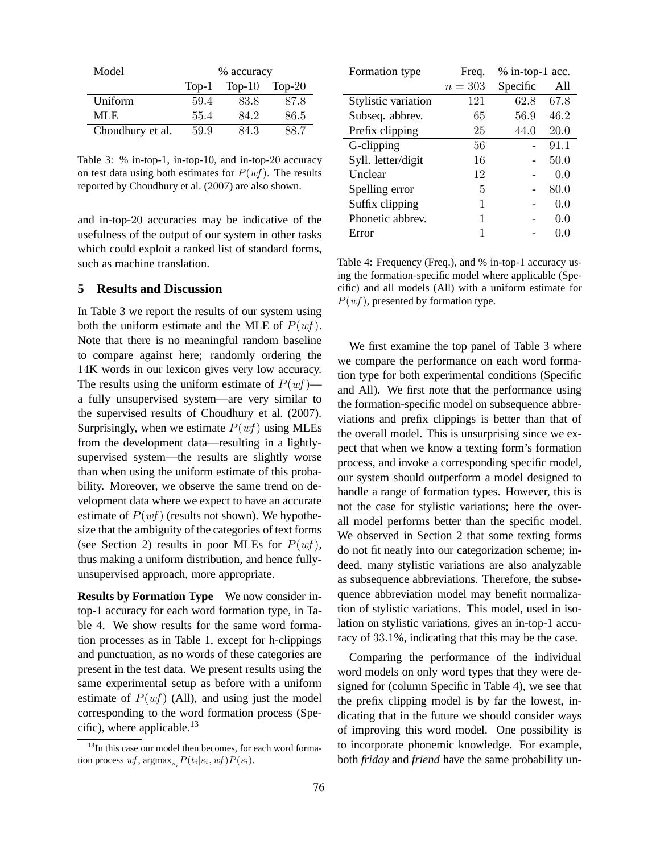| Model            | % accuracy |           |        |
|------------------|------------|-----------|--------|
|                  | $Top-1$    | Top- $10$ | Top-20 |
| Uniform          | 59.4       | 83.8      | 87.8   |
| MLE.             | 55.4       | 84.2      | 86.5   |
| Choudhury et al. | 59.9       | 84.3      | 88.7   |

Table 3: % in-top-1, in-top-10, and in-top-20 accuracy on test data using both estimates for  $P(wf)$ . The results reported by Choudhury et al. (2007) are also shown.

and in-top-20 accuracies may be indicative of the usefulness of the output of our system in other tasks which could exploit a ranked list of standard forms, such as machine translation.

## **5 Results and Discussion**

In Table 3 we report the results of our system using both the uniform estimate and the MLE of  $P(wf)$ . Note that there is no meaningful random baseline to compare against here; randomly ordering the 14K words in our lexicon gives very low accuracy. The results using the uniform estimate of  $P(wf)$  a fully unsupervised system—are very similar to the supervised results of Choudhury et al. (2007). Surprisingly, when we estimate  $P(wf)$  using MLEs from the development data—resulting in a lightlysupervised system—the results are slightly worse than when using the uniform estimate of this probability. Moreover, we observe the same trend on development data where we expect to have an accurate estimate of  $P(wf)$  (results not shown). We hypothesize that the ambiguity of the categories of text forms (see Section 2) results in poor MLEs for  $P(wf)$ , thus making a uniform distribution, and hence fullyunsupervised approach, more appropriate.

**Results by Formation Type** We now consider intop-1 accuracy for each word formation type, in Table 4. We show results for the same word formation processes as in Table 1, except for h-clippings and punctuation, as no words of these categories are present in the test data. We present results using the same experimental setup as before with a uniform estimate of  $P(wf)$  (All), and using just the model corresponding to the word formation process (Specific), where applicable.<sup>13</sup>

| Formation type      | Freq.   | % in-top-1 acc. |       |
|---------------------|---------|-----------------|-------|
|                     | $n=303$ | Specific        | All   |
| Stylistic variation | 121     | 62.8            | 67.8  |
| Subseq. abbrev.     | 65      | 56.9            | 46.2  |
| Prefix clipping     | 25      | 44.0            | 20.0  |
| G-clipping          | 56      |                 | 91.1  |
| Syll. letter/digit  | 16      |                 | 50.0  |
| Unclear             | 12      |                 | 0.0   |
| Spelling error      | 5       |                 | 80.0  |
| Suffix clipping     | 1       |                 | 0.0   |
| Phonetic abbrev.    | 1       |                 | 0.0   |
| Error               | 1       |                 | (0.0) |

Table 4: Frequency (Freq.), and % in-top-1 accuracy using the formation-specific model where applicable (Specific) and all models (All) with a uniform estimate for  $P(wf)$ , presented by formation type.

We first examine the top panel of Table 3 where we compare the performance on each word formation type for both experimental conditions (Specific and All). We first note that the performance using the formation-specific model on subsequence abbreviations and prefix clippings is better than that of the overall model. This is unsurprising since we expect that when we know a texting form's formation process, and invoke a corresponding specific model, our system should outperform a model designed to handle a range of formation types. However, this is not the case for stylistic variations; here the overall model performs better than the specific model. We observed in Section 2 that some texting forms do not fit neatly into our categorization scheme; indeed, many stylistic variations are also analyzable as subsequence abbreviations. Therefore, the subsequence abbreviation model may benefit normalization of stylistic variations. This model, used in isolation on stylistic variations, gives an in-top-1 accuracy of 33.1%, indicating that this may be the case.

Comparing the performance of the individual word models on only word types that they were designed for (column Specific in Table 4), we see that the prefix clipping model is by far the lowest, indicating that in the future we should consider ways of improving this word model. One possibility is to incorporate phonemic knowledge. For example, both *friday* and *friend* have the same probability un-

 $13$ In this case our model then becomes, for each word formation process  $wf$ ,  $argmax_{s_i} P(t_i|s_i, wf)P(s_i)$ .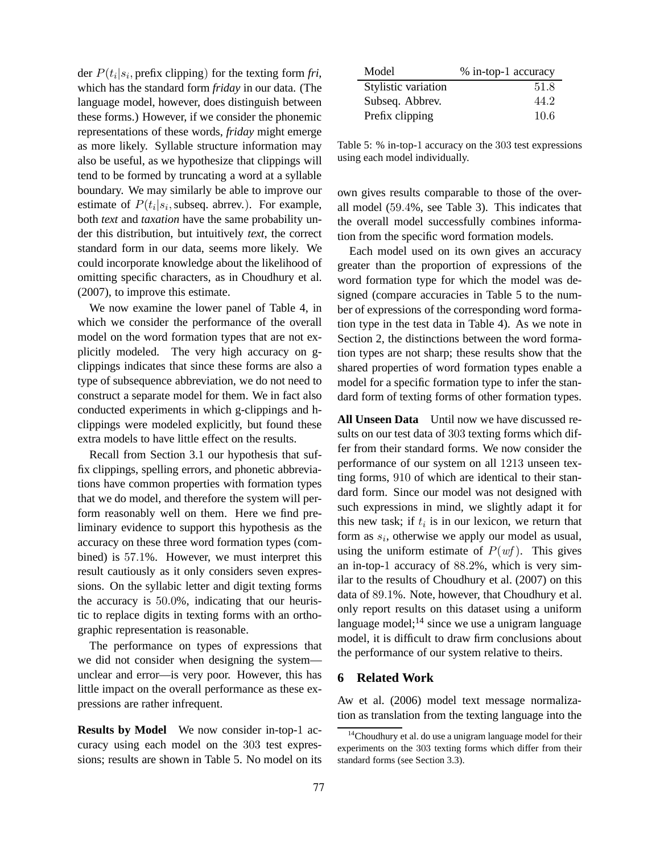der  $P(t_i|s_i)$ , prefix clipping) for the texting form *fri*, which has the standard form *friday* in our data. (The language model, however, does distinguish between these forms.) However, if we consider the phonemic representations of these words, *friday* might emerge as more likely. Syllable structure information may also be useful, as we hypothesize that clippings will tend to be formed by truncating a word at a syllable boundary. We may similarly be able to improve our estimate of  $P(t_i|s_i)$ , subseq. abrrev.). For example, both *text* and *taxation* have the same probability under this distribution, but intuitively *text*, the correct standard form in our data, seems more likely. We could incorporate knowledge about the likelihood of omitting specific characters, as in Choudhury et al. (2007), to improve this estimate.

We now examine the lower panel of Table 4, in which we consider the performance of the overall model on the word formation types that are not explicitly modeled. The very high accuracy on gclippings indicates that since these forms are also a type of subsequence abbreviation, we do not need to construct a separate model for them. We in fact also conducted experiments in which g-clippings and hclippings were modeled explicitly, but found these extra models to have little effect on the results.

Recall from Section 3.1 our hypothesis that suffix clippings, spelling errors, and phonetic abbreviations have common properties with formation types that we do model, and therefore the system will perform reasonably well on them. Here we find preliminary evidence to support this hypothesis as the accuracy on these three word formation types (combined) is 57.1%. However, we must interpret this result cautiously as it only considers seven expressions. On the syllabic letter and digit texting forms the accuracy is 50.0%, indicating that our heuristic to replace digits in texting forms with an orthographic representation is reasonable.

The performance on types of expressions that we did not consider when designing the system unclear and error—is very poor. However, this has little impact on the overall performance as these expressions are rather infrequent.

**Results by Model** We now consider in-top-1 accuracy using each model on the 303 test expressions; results are shown in Table 5. No model on its

| Model               | % in-top-1 accuracy |
|---------------------|---------------------|
| Stylistic variation | 51.8                |
| Subseq. Abbrev.     | 44.2                |
| Prefix clipping     | 10.6                |

Table 5: % in-top-1 accuracy on the 303 test expressions using each model individually.

own gives results comparable to those of the overall model (59.4%, see Table 3). This indicates that the overall model successfully combines information from the specific word formation models.

Each model used on its own gives an accuracy greater than the proportion of expressions of the word formation type for which the model was designed (compare accuracies in Table 5 to the number of expressions of the corresponding word formation type in the test data in Table 4). As we note in Section 2, the distinctions between the word formation types are not sharp; these results show that the shared properties of word formation types enable a model for a specific formation type to infer the standard form of texting forms of other formation types.

**All Unseen Data** Until now we have discussed results on our test data of 303 texting forms which differ from their standard forms. We now consider the performance of our system on all 1213 unseen texting forms, 910 of which are identical to their standard form. Since our model was not designed with such expressions in mind, we slightly adapt it for this new task; if  $t_i$  is in our lexicon, we return that form as  $s_i$ , otherwise we apply our model as usual, using the uniform estimate of  $P(wf)$ . This gives an in-top-1 accuracy of 88.2%, which is very similar to the results of Choudhury et al. (2007) on this data of 89.1%. Note, however, that Choudhury et al. only report results on this dataset using a uniform language model; $^{14}$  since we use a unigram language model, it is difficult to draw firm conclusions about the performance of our system relative to theirs.

# **6 Related Work**

Aw et al. (2006) model text message normalization as translation from the texting language into the

<sup>&</sup>lt;sup>14</sup>Choudhury et al. do use a unigram language model for their experiments on the 303 texting forms which differ from their standard forms (see Section 3.3).